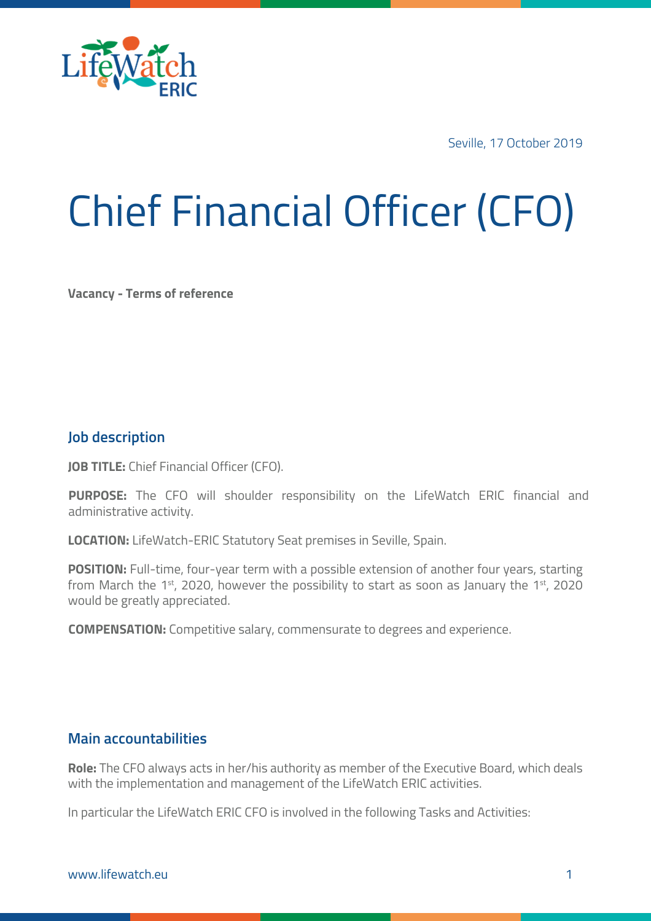

Seville, 17 October 2019

# Chief Financial Officer (CFO)

**Vacancy - Terms of reference**

### **Job description**

**JOB TITLE:** Chief Financial Officer (CFO).

**PURPOSE:** The CFO will shoulder responsibility on the LifeWatch ERIC financial and administrative activity.

**LOCATION:** LifeWatch-ERIC Statutory Seat premises in Seville, Spain.

**POSITION:** Full-time, four-year term with a possible extension of another four years, starting from March the 1st, 2020, however the possibility to start as soon as January the 1st, 2020 would be greatly appreciated.

**COMPENSATION:** Competitive salary, commensurate to degrees and experience.

#### **Main accountabilities**

**Role:** The CFO always acts in her/his authority as member of the Executive Board, which deals with the implementation and management of the LifeWatch ERIC activities.

In particular the LifeWatch ERIC CFO is involved in the following Tasks and Activities: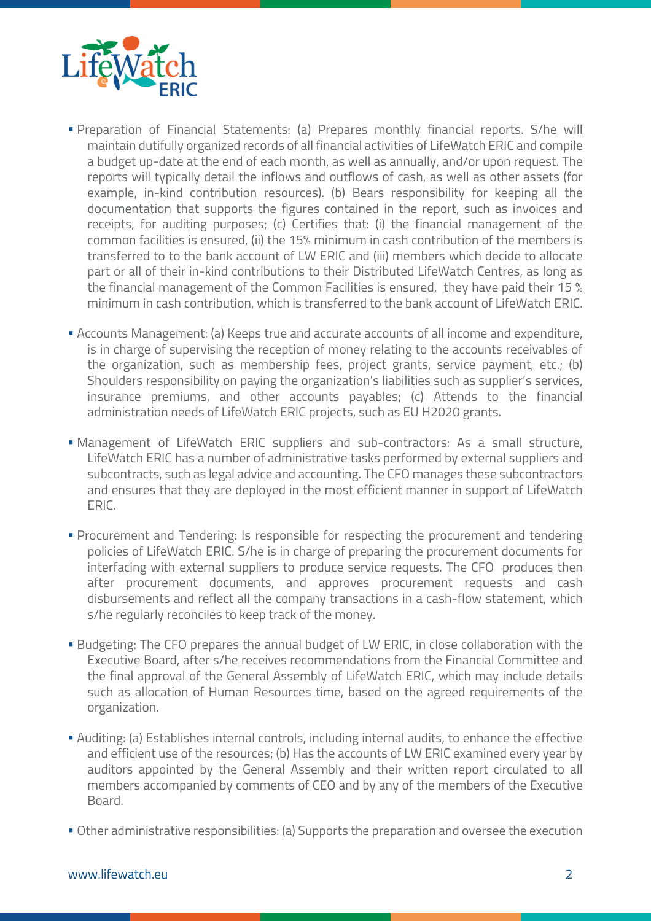

- § Preparation of Financial Statements: (a) Prepares monthly financial reports. S/he will maintain dutifully organized records of all financial activities of LifeWatch ERIC and compile a budget up-date at the end of each month, as well as annually, and/or upon request. The reports will typically detail the inflows and outflows of cash, as well as other assets (for example, in-kind contribution resources). (b) Bears responsibility for keeping all the documentation that supports the figures contained in the report, such as invoices and receipts, for auditing purposes; (c) Certifies that: (i) the financial management of the common facilities is ensured, (ii) the 15% minimum in cash contribution of the members is transferred to to the bank account of LW ERIC and (iii) members which decide to allocate part or all of their in-kind contributions to their Distributed LifeWatch Centres, as long as the financial management of the Common Facilities is ensured, they have paid their 15 % minimum in cash contribution, which is transferred to the bank account of LifeWatch ERIC.
- § Accounts Management: (a) Keeps true and accurate accounts of all income and expenditure, is in charge of supervising the reception of money relating to the accounts receivables of the organization, such as membership fees, project grants, service payment, etc.; (b) Shoulders responsibility on paying the organization's liabilities such as supplier's services, insurance premiums, and other accounts payables; (c) Attends to the financial administration needs of LifeWatch ERIC projects, such as EU H2020 grants.
- § Management of LifeWatch ERIC suppliers and sub-contractors: As a small structure, LifeWatch ERIC has a number of administrative tasks performed by external suppliers and subcontracts, such as legal advice and accounting. The CFO manages these subcontractors and ensures that they are deployed in the most efficient manner in support of LifeWatch ERIC.
- § Procurement and Tendering: Is responsible for respecting the procurement and tendering policies of LifeWatch ERIC. S/he is in charge of preparing the procurement documents for interfacing with external suppliers to produce service requests. The CFO produces then after procurement documents, and approves procurement requests and cash disbursements and reflect all the company transactions in a cash-flow statement, which s/he regularly reconciles to keep track of the money.
- Budgeting: The CFO prepares the annual budget of LW ERIC, in close collaboration with the Executive Board, after s/he receives recommendations from the Financial Committee and the final approval of the General Assembly of LifeWatch ERIC, which may include details such as allocation of Human Resources time, based on the agreed requirements of the organization.
- § Auditing: (a) Establishes internal controls, including internal audits, to enhance the effective and efficient use of the resources; (b) Has the accounts of LW ERIC examined every year by auditors appointed by the General Assembly and their written report circulated to all members accompanied by comments of CEO and by any of the members of the Executive Board.
- Other administrative responsibilities: (a) Supports the preparation and oversee the execution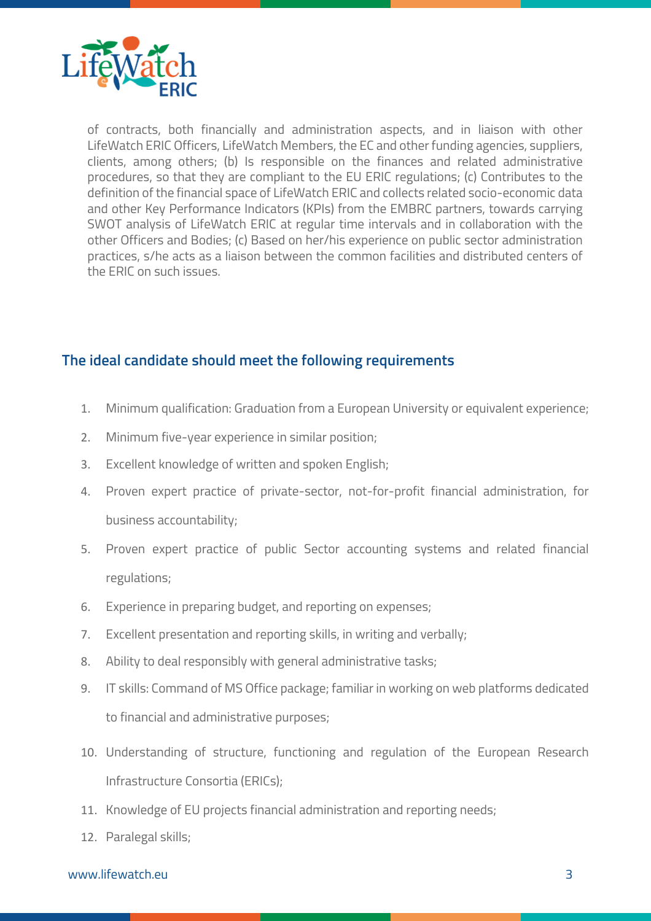

of contracts, both financially and administration aspects, and in liaison with other LifeWatch ERIC Officers, LifeWatch Members, the EC and other funding agencies, suppliers, clients, among others; (b) Is responsible on the finances and related administrative procedures, so that they are compliant to the EU ERIC regulations; (c) Contributes to the definition of the financial space of LifeWatch ERIC and collects related socio-economic data and other Key Performance Indicators (KPIs) from the EMBRC partners, towards carrying SWOT analysis of LifeWatch ERIC at regular time intervals and in collaboration with the other Officers and Bodies; (c) Based on her/his experience on public sector administration practices, s/he acts as a liaison between the common facilities and distributed centers of the ERIC on such issues.

## **The ideal candidate should meet the following requirements**

- 1. Minimum qualification: Graduation from a European University or equivalent experience;
- 2. Minimum five-year experience in similar position;
- 3. Excellent knowledge of written and spoken English;
- 4. Proven expert practice of private-sector, not-for-profit financial administration, for business accountability;
- 5. Proven expert practice of public Sector accounting systems and related financial regulations;
- 6. Experience in preparing budget, and reporting on expenses;
- 7. Excellent presentation and reporting skills, in writing and verbally;
- 8. Ability to deal responsibly with general administrative tasks;
- 9. IT skills: Command of MS Office package; familiar in working on web platforms dedicated to financial and administrative purposes;
- 10. Understanding of structure, functioning and regulation of the European Research Infrastructure Consortia (ERICs);
- 11. Knowledge of EU projects financial administration and reporting needs;
- 12. Paralegal skills;

#### www.lifewatch.eu 3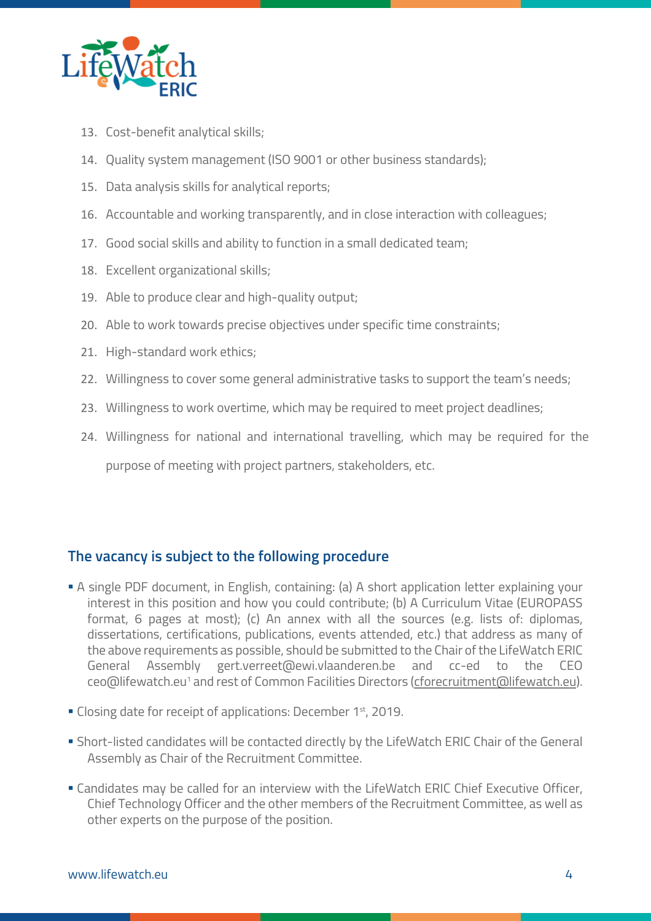

- 13. Cost-benefit analytical skills;
- 14. Quality system management (ISO 9001 or other business standards);
- 15. Data analysis skills for analytical reports;
- 16. Accountable and working transparently, and in close interaction with colleagues;
- 17. Good social skills and ability to function in a small dedicated team;
- 18. Excellent organizational skills;
- 19. Able to produce clear and high-quality output;
- 20. Able to work towards precise objectives under specific time constraints;
- 21. High-standard work ethics;
- 22. Willingness to cover some general administrative tasks to support the team's needs;
- 23. Willingness to work overtime, which may be required to meet project deadlines;
- 24. Willingness for national and international travelling, which may be required for the purpose of meeting with project partners, stakeholders, etc.

# **The vacancy is subject to the following procedure**

- § A single PDF document, in English, containing: (a) A short application letter explaining your interest in this position and how you could contribute; (b) A Curriculum Vitae (EUROPASS format, 6 pages at most); (c) An annex with all the sources (e.g. lists of: diplomas, dissertations, certifications, publications, events attended, etc.) that address as many of the above requirements as possible, should be submitted to the Chair of the LifeWatch ERIC General Assembly gert.verreet@ewi.vlaanderen.be and cc-ed to the CEO ceo@lifewatch.eu<sup>1</sup> and rest of Common Facilities Directors (cforecruitment@lifewatch.eu).
- Closing date for receipt of applications: December 1<sup>st</sup>, 2019.
- § Short-listed candidates will be contacted directly by the LifeWatch ERIC Chair of the General Assembly as Chair of the Recruitment Committee.
- § Candidates may be called for an interview with the LifeWatch ERIC Chief Executive Officer, Chief Technology Officer and the other members of the Recruitment Committee, as well as other experts on the purpose of the position.